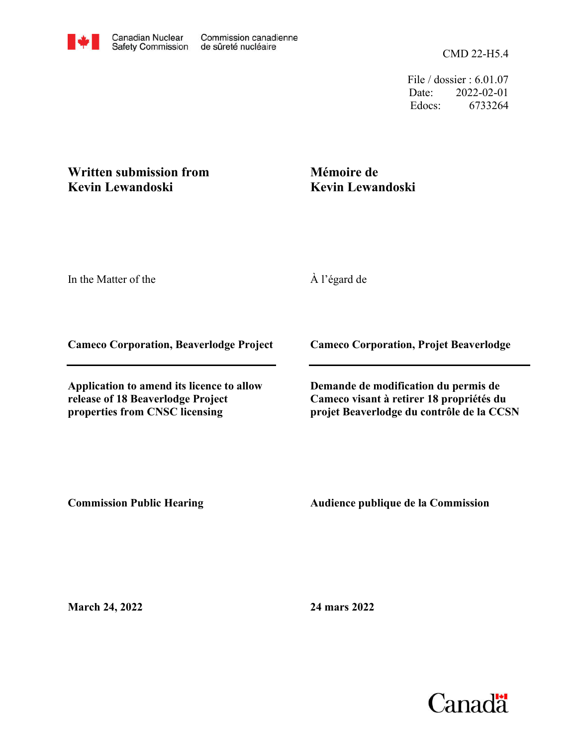CMD 22-H5.4

File / dossier : 6.01.07 Date: 2022-02-01 Edocs: 6733264

## **Written submission from Kevin Lewandoski**

## **Mémoire de Kevin Lewandoski**

In the Matter of the

À l'égard de

**Cameco Corporation, Beaverlodge Project**

**Application to amend its licence to allow release of 18 Beaverlodge Project properties from CNSC licensing**

**Cameco Corporation, Projet Beaverlodge**

**Demande de modification du permis de Cameco visant à retirer 18 propriétés du projet Beaverlodge du contrôle de la CCSN**

**Commission Public Hearing**

**Audience publique de la Commission** 

**March 24, 2022**

**24 mars 2022**